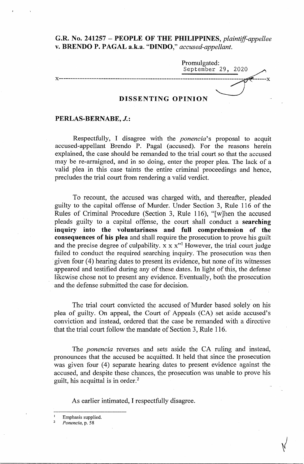# **G.R. No. 241257** - **PEOPLE OF THE PHILIPPINES,** *plaintiffappellee*  v. **BRENDO P. PAGAL a.k.a. "DINDO,"** *accused-appellant.*

|                    | Promulgated:<br>September 29, 2020 |
|--------------------|------------------------------------|
|                    |                                    |
|                    |                                    |
| DISSENTING OPINION |                                    |

### **PERLAS-BERNABE, J.:**

Respectfully, I disagree with the *ponencia's* proposal to acquit accused-appellant Brendo P. Pagal (accused). For the reasons herein explained, the case should be remanded to the trial court so that the accused may be re-arraigned, and in so doing, enter the proper plea. The lack of a valid plea in this case taints the entire criminal proceedings and hence, precludes the trial court from rendering a valid verdict.

To recount, the accused was charged with, and thereafter, pleaded guilty to the capital offense of Murder. Under Section 3, Rule 116 of the Rules of Criminal Procedure (Section 3, Rule 116), "[w]hen the accused pleads guilty to a capital offense, the court shall conduct a **searching inquiry into the voluntariness and full comprehension of the consequences of his plea** and shall require the prosecution to prove his guilt and the precise degree of culpability.  $x \times x''$  However, the trial court judge failed to conduct the required searching inquiry. The prosecution was then given four (4) hearing dates to present its evidence, but none of its witnesses appeared and testified during any of these dates. In light of this, the defense likewise chose not to present any evidence. Eventually, both the prosecution and the defense submitted the case for decision.

The trial court convicted the accused of Murder based solely on his plea of guilty. On appeal, the Court of Appeals (CA) set aside accused's conviction and instead, ordered that the case be remanded with a directive that the trial court follow the mandate of Section 3, Rule 116.

The *ponencia* reverses and sets aside the CA ruling and instead, pronounces that the accused be acquitted. It held that since the prosecution was given four (4) separate hearing dates to present evidence against the accused, and despite these chances, the prosecution was unable to prove his guilt, his acquittal is in order.<sup>2</sup>

As earlier intimated, I respectfully disagree.

Emphasis supplied.

<sup>2</sup>*Ponencia,* p. 58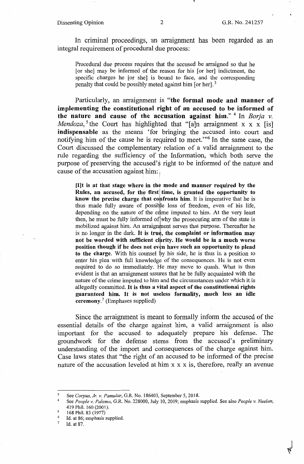### Dissenting Opinion 2 G.R. No. 241257

In criminal proceedings, an arraignment has been regarded as an integral requirement of procedural due process:

Procedural due process requires that the accused be arraigned so that he [or she] may be informed of the reason for his [or her] indictment, the specific charges he [or she] is bound to face, and the corresponding penalty that could be possibly meted against him [or her].<sup>3</sup>

Particularly, an arraignment is **"the formal mode and manner of implementing the constitutional right of an accused to be informed of the nature and cause of the accusation against him."** <sup>4</sup> In *Borja v. Mendoza*,<sup>5</sup> the Court has highlighted that "[a]n arraignment x x x [is] **indispensable** as the means 'for bringing the accused into court and notifying him of the cause he is required to meet."<sup>6</sup> In the same case, the Court discussed the complementary relation of a valid arraignment to the rule regarding the sufficiency of the Information, which both serve the purpose of preserving the accused's right to be informed of the nature and cause of the accusation against him:

**[Ilt is at that stage where in the mode and manner required by the**  Rules, an accused, for the first time, is granted the opportunity to know the precise charge that confronts him. It is imperative that he is thus made fully aware of possible loss of freedom, even of his life, depending on the nature of the crime imputed to him. At the very least then, he must be fully informed of why the prosecuting arm of the state is mobilized against him. An arraignment serves that purpose. Thereafter he is no longer in the dark. It is true, the complaint or information may **not be worded with sufficient clarity. He would be in a much worse** position though if he does not even have such an opportunity to plead **to the charge.** With his counsel by his side, he is thus in a position to enter his plea with full knowledge of the consequences. He is not even required to do so immediately. He may move to quash. What is thus evident is that an arraignment assures that he be fully acquainted with the nature of the crime imputed to him and the circumstances under which it is allegedly committed. It **is thus a vital aspect of the constitutional rights guaranteed him.** It is **not useless formality, much less an idle ceremony.<sup>7</sup>**(Emphases supplied)

Since the arraignment is meant to formally inform the accused of the essential details of the charge against him, a valid arraignment is also important for the accused to adequately prepare his defense. The groundwork for the defense stems from the accused's preliminary understanding of the import and consequences of the charge against him. Case laws states that "the right of an accused to be informed of the precise nature of the accusation leveled at him  $x \times x$  is, therefore, really an avenue

7 Id. at 87. •-

<sup>3</sup>  See *Corpus, Jr. v. Pamular,* G.R. No. 186403, September 5, 2018.

<sup>4</sup>  See *People v. Palema,* G.R. No. 228000, July 10, 2019; emphasis supplied. See also *People v. Nuelan,*  419 Phil. 160 (2001).

*<sup>5</sup>*  168 Phil. 83 (1977)

<sup>6</sup>  Id. at 86; emphasis supplied.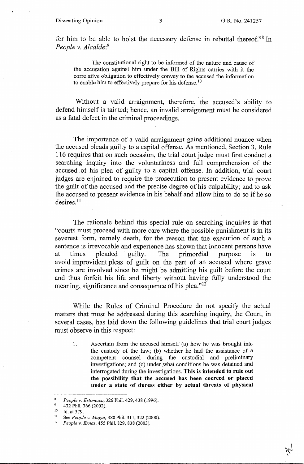for him to be able to hoist the necessary defense in rebuttal thereof."<sup>8</sup> In *People v. Alcalde:*<sup>9</sup>

The constitutional right to be informed of the nature and cause of the accusation against him under the Bill of Rights carries with it the correlative obligation to effectively convey to the accused the information to enable him to effectively prepare for his defense.<sup>10</sup>

Without a valid arraignment, therefore, the accused's ability to defend himself is tainted; hence, an invalid arraignment must be considered as a fatal defect in the criminal proceedings.

The importance of a valid arraignment gains additional nuance when the accused pleads guilty to a capital offense. As mentioned, Section 3, Rule 116 requires that on such occasion, the trial court judge must first conduct a searching inquiry into the voluntariness and full comprehension of the accused\_ of his plea of guilty to a capital offense. In addition, trial court judges are enjoined to require the prosecution to present evidence to prove the guilt of the accused and the precise degree of his culpability; and to ask the accused to present evidence in his behalf and allow him to do so if he so  $desires.<sup>11</sup>$ 

The rationale behind this special rule on searching inquiries is that "courts must proceed with more care where the possible punishment is in its severest form, namely death, for the reason that the execution of such a sentence is irrevocable and experience has shown that innocent persons have at times pleaded guilty. The primordial purpose is to avoid improvident pleas of guilt on the part of an accused where grave crimes are involved since he might be admitting his guilt before the court and thus forfeit his life and liberty without having fully understood the meaning, significance and consequence of his plea."<sup>12</sup>

While the Rules of Criminal Procedure do not specify the actual matters that must be addressed during this searching inquiry, the Court, in several cases, has laid down the following guidelines that trial court judges must observe in this respect:

1. Ascertain from the accused himself (a) how he was brought into the custody of the law; (b) whether he had the assistance of a competent counsel during the custodial and preliminary investigations; and (c) under what conditions he was detained and interrogated during the investigations. **This is intended to rule out the possibility that the accused has been coerced or placed under a state of duress either by actual threats of physical** 

<sup>8</sup> *People v. Estomaca,* 326 Phil. 429, 438 (1996).

<sup>10</sup> Id. at 379.<br><sup>11</sup> See *People v. Magat*, 388 Phil. 311, 322 (2000).<br><sup>12</sup> *People v. Ernas*, 455 Phil. 829, 838 (2003).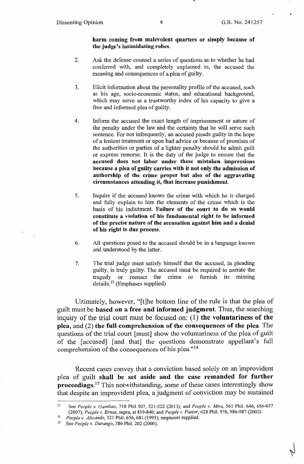## **harm coming from malevolent quarters or simply because of the judge's intimidating robes.**

- 2. Ask the defense counsel a series of questions as to whether he had conferred with, and completely explained to, the accused the meaning and consequences of a plea of guilty.
- 3. Elicit information about the personality profile of the accused, such as his age, socio-economic status, and educational background, which may serve as a trustworthy index of his capacity to give a free and informed plea of guilty.
- 4. Inform the accused the exact length of imprisonment or nature of the penalty under the law and the certainty that he will serve such sentence. For not infrequently, an accused pleads guilty in the hope of a lenient treatment or upon bad advice or because of promises of the authorities or parties of a lighter penalty should he admit guilt or express remorse. It is the duty of the judge to ensure that the **accused does not labor under these mistaken impressions because a plea of guilty carries with it not only the admission of authorship of the crime proper but also of the aggravating circumstances attending it, that increase punishment.**
- 5. Inquire if the accused knows the crime with which he is charged and fully explain to him the elements of the crime which is the basis of his indictment. **Failure of the court to do so would constitute a violation of his fundamental right to be informed of the precise nature of the accusation against him and a denial of his right to due process.**
- 6. All questions posed to the accused should be in a language known and understood by the latter.
- 7. The trial judge must satisfy himself that the accused, in pleading guilty, is truly guilty. The accused must be required to narrate the tragedy or reenact the crime or furnish its missing details. 13 (Emphases supplied)

Ultimately, however, "[t]he bottom line of the rule is that the plea of guilt must be **based on a free and informed judgment.** Thus, the searching inquiry of the trial court must be focused on: (1) **the voluntariness of the plea,** and (2) **the full comprehension of the consequences of the plea.** The questions of the trial court [must] show the voluntariness of the plea of guilt of the [accused] [and that] the questions demonstrate appellant's full comprehension of the consequences of his plea."14

Recent cases convey that a conviction based solely on an improvident plea of guilt **shall be set aside and the case remanded for further proceedings.**<sup>15</sup> This notwithstanding, some of these cases interestingly show that despite an improvident plea, a judgment of conviction may be sustained

<sup>13</sup> See *People v. Gambao,* 718 Phil 507, 521-522 (2013); and *People v. Mira,* 561 Phil. 646, 656-657 (2007); People v. Ernas, supra, at 839-840; and People v. Pastor, 428 Phil. 976, 986-987 (2002).<br>
<sup>14</sup> People v. Alicando, 321 Phil. 656, 681 (1995); emphases supplied.<br>
<sup>15</sup> See People v. Durango, 386 Phil. 202 (2000).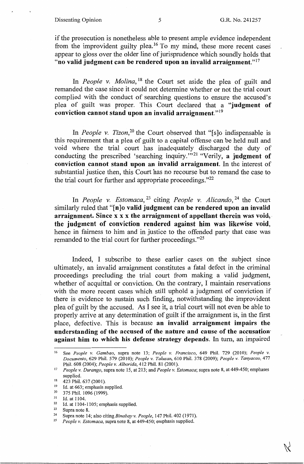#### Dissenting Opinion 5 5 G.R. No. 241257

if the prosecution is nonetheless able to present ample evidence independent from the improvident guilty plea.<sup>16</sup> To my mind, these more recent cases appear to gloss over the older line of jurisprudence which soundly holds that **"no valid judgment can be rendered upon an invalid arraignment." <sup>17</sup>**

In *People v. Molina*, <sup>18</sup> the Court set aside the plea of guilt and remanded the case since it could not determine whether or not the trial court complied with the conduct of searching questions to ensure the accused's plea of guilt was proper. This Court declared that a **"judgment of conviction cannot stand upon an invalid arraignment." <sup>19</sup>**

In *People v. Tizon*<sup>20</sup> the Court observed that "[s]o indispensable is this requirement that a plea of guilt to a capital offense can be held null and void where the trial court has inadequately discharged the duty of conducting the prescribed 'searching inquiry."<sup>21</sup> "Verily, a judgment of **conviction cannot stand upon an invalid arraignment.** In the interest of substantial justice then, this Court has no recourse but to remand the case to the trial court for further and appropriate proceedings. $122$ 

In *People v. Estomaca,* 23 citing *People v. Alicando,* 24 the Court similarly ruled that **"[n]o valid judgment can be rendered upon an invalid arraignment. Since x x x the arraignment of appellant therein was void, the judgment of conviction rendered against him was likewise void,**  hence in fairness to him and in justice to the offended party that case was remanded to the trial court for further proceedings."<sup>25</sup>

Indeed, I subscribe to these earlier cases on the subject since ultimately, an invalid arraignment constitutes a fatal defect in the criminal proceedings precluding the trial court from making a valid judgment, whether of acquittal or conviction. On the contrary, I maintain reservations with the more recent cases which still uphold a judgment of conviction if there is evidence to sustain such finding, notwithstanding the improvident plea of guilt by the accused. As I see it, a trial court will not even be able to properly arrive at any determination of guilt if the arraignment is, in the first place, defective. This is because **an invalid arraignment impairs the understanding of the accused of the nature and cause of the accusation· against him to which his defense strategy depends.** In tum, an impaired

<sup>16</sup> See *People v. Gambao,* supra note 13; *People v. Francisco,* 649 Phil. 729 (2010); *People v. Documento,* 629 Phil. 579 (2010); *People v. Talusan,* 610 Phil. 378 (2009); *People v. Tanyacao,* 477

<sup>&</sup>lt;sup>17</sup> *People v. Durango*, supra note 15, at 213; and *People v. Estomaca*; supra note 8, at 449-450; emphases supplied.<br>
<sup>18</sup> 423 Phil. 637 (2001).<br>
<sup>19</sup> Id. at 663; emphasis supplied.<br>
<sup>20</sup> 375 Phil. 1096 (1999).<br>
<sup>21</sup> Id. at 1104.<br>
<sup>22</sup> Id. at 1104-1105; emphasis supplied.<br>
<sup>23</sup> Supra note 8.<br>
<sup>24</sup> Supra note 14; also citing *B*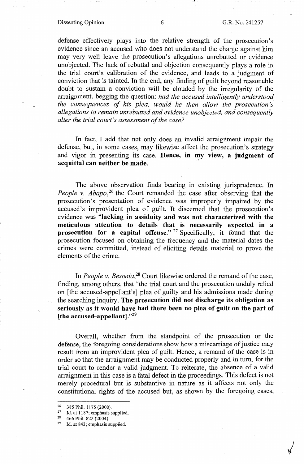### Dissenting Opinion 6 6 G.R. No. 241257

defense effectively plays into the relative strength of the prosecution's evidence since an accused who does not understand the charge against him may very well leave the prosecution's allegations unrebutted or evidence unobjected. The lack of rebuttal and objection consequently plays a role in the trial court's calibration of the evidence, and leads to a judgment of conviction that is tainted. In the end, any finding of guilt beyond reasonable doubt to sustain a conviction will be clouded by the irregularity of the arraignment, begging the question: *had the accused intelligently understood the consequences of his plea, would he then allow the prosecution's allegations to remain unrebutted and evidence unobjected, and consequently alter the trial court's assessment of the case?* 

In fact, I add that not only does an invalid arraignment impair the defense, but, in some cases, may likewise affect the prosecution's strategy and vigor in presenting its case. **Hence, in my view, a judgment of acquittal can neither be made.** 

The above observation finds bearing in existing jurisprudence. In *People v. Abapo*,<sup>26</sup> the Court remanded the case after observing that the prosecution's presentation of evidence was improperly impaired by the accused's improvident plea of guilt. It discerned that the prosecution's evidence was **"lacking in assiduity and was not characterized with the meticulous attention to details that is necessarily expected in a**  prosecution for a capital offense." <sup>27</sup> Specifically, it found that the prosecution focused on obtaining the frequency and the material dates the crimes were committed, instead of eliciting details material to prove the elements of the crime.

In *People v. Besonia,28* Court likewise ordered the remand of the case, finding, among others, that "the trial court and the prosecution unduly relied on [the accused-appellant's] plea of guilty and his admissions made during the searching inquiry. **The prosecution did not discharge its obligation as seriously as it would have had there been no plea of guilt on the part of [the accused-appellant]."<sup>29</sup>**

Overall, whether from the standpoint of the prosecution or the defense, the foregoing considerations show how a miscarriage of justice may result from an improvident plea of guilt. Hence, a remand of the case is in order so that the arraignment may be conducted properly and in tum, for the trial court to render a valid judgment. To reiterate, the absence of a valid arraignment in this case is a fatal defect in the proceedings. This defect is not merely procedural but is substantive in nature as it affects not only the constitutional rights of the accused but, as shown by the foregoing cases,

<sup>&</sup>lt;sup>26</sup> 385 Phil. 1175 (2000).<br><sup>27</sup> Id. at 1187; emphasis supplied.<br><sup>28</sup> Id. at 843; emphasis supplied.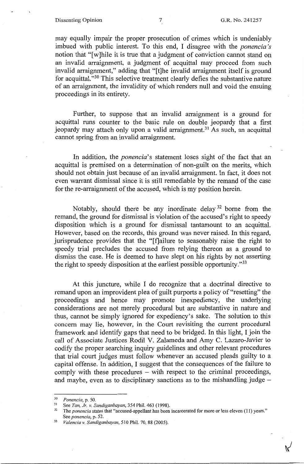#### Dissenting Opinion 7 G.R. No. 241257

may equally impair the proper prosecution of crimes which is undeniably imbued with public interest. To this end, I disagree with the *ponencia 's*  notion that "[w]hile it is true that a judgment of conviction cannot stand on an invalid arraignment, a judgment of acquittal may proceed from such invalid arraignment," adding that "[t]he invalid arraignment itself is ground for acquittal. "30 This selective treatment clearly defies the substantive nature of an arraignment, the invalidity of which renders null and void the ensuing proceedings in its entirety.

Further, to suppose that an invalid arraignment is a ground for acquittal runs counter to the basic rule on double jeopardy that a first jeopardy may attach only upon a valid arraignment.<sup>31</sup> As such, an acquittal cannot spring from an invalid arraignment.

In addition, the *ponencia*'s statement loses sight of the fact that an acquittal is premised on a determination of non-guilt on the merits, which should not obtain just because of an invalid arraignment. In fact, it does not even warrant dismissal since it is still remediable by the remand of the case for the re-arraignment of the accused, which is my position herein.

Notably, should there be any inordinate delay 32 borne from the remand, the ground for dismissal is violation of the accused's right to speedy disposition which is a ground for dismissal tantamount to an acquittal. However, based on the records, this ground was never raised. In this regard, jurisprudence provides that the "[f]ailure to seasonably raise the right to speedy trial precludes the accused from relying thereon as a ground to dismiss the case. He is deemed to have slept on his rights by not asserting the right to speedy disposition at the earliest possible opportunity."33

At this juncture, while I do recognize that a doctrinal directive to remand upon an improvident plea of guilt purports a policy of "resetting" the proceedings and hence may promote inexpediency, the underlying considerations are not merely procedural but are substantive in nature and thus, cannot be simply ignored for expediency's sake. The solution to this concern may lie, however, in the Court revisiting the current procedural framework and identify gaps that need to be bridged. In this light, I join the call of Associate Justices Rodil V. Zalameda and Amy C. Lazaro-Javier to codify the proper searching inquiry guidelines and other relevant procedures that trial court judges must follow whenever an accused pleads guilty to a capital offense. In addition, I suggest that the consequences of the failure to comply with these procedures - with respect to the criminal proceedings, and maybe, even as to disciplinary sanctions as to the mishandling judge  $-$ 

<sup>&</sup>lt;sup>30</sup> Ponencia, p. 50.<br><sup>31</sup> See *Tan, Jr. v. Sandiganbayan*, 354 Phil. 463 (1998).<br><sup>32</sup> The *ponencia* states that "accused-appellant has been incarcerated for more or less eleven (11) years." See *ponencia,* p. 52. 33 *Valenciav. Sandiganbayan,* 510 Phil. 70, 88 (2005).